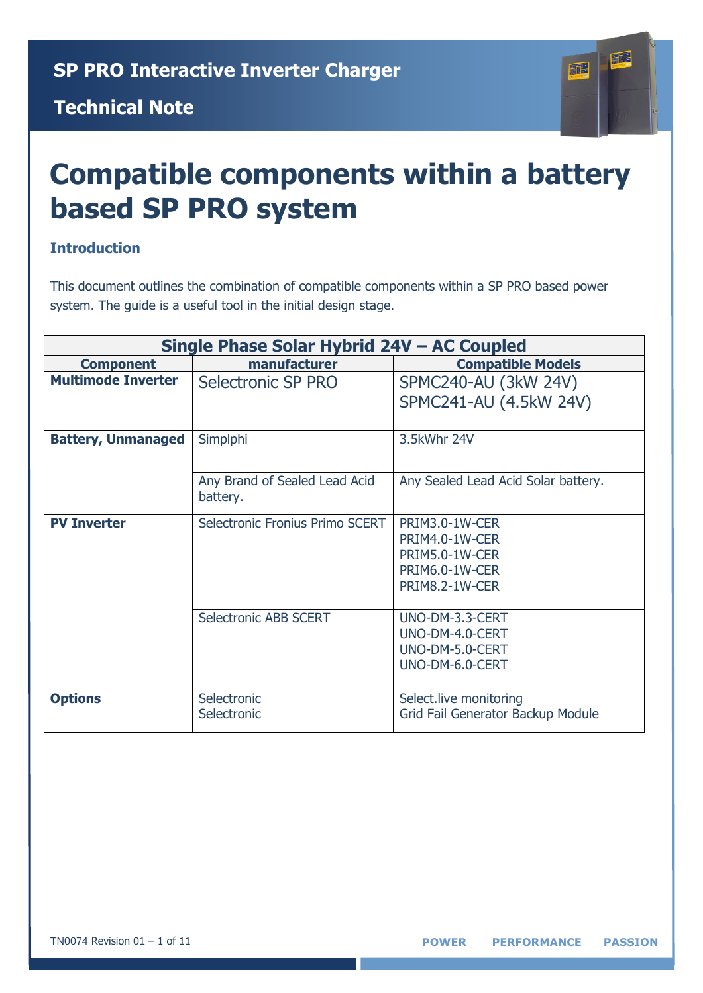#### **Technical Note**



# **Compatible components within a battery based SP PRO system**

#### **Introduction**

This document outlines the combination of compatible components within a SP PRO based power system. The guide is a useful tool in the initial design stage.

| Single Phase Solar Hybrid 24V - AC Coupled |                                 |                                     |
|--------------------------------------------|---------------------------------|-------------------------------------|
| <b>Component</b>                           | manufacturer                    | <b>Compatible Models</b>            |
| <b>Multimode Inverter</b>                  | Selectronic SP PRO              | SPMC240-AU (3kW 24V)                |
|                                            |                                 | SPMC241-AU (4.5kW 24V)              |
|                                            |                                 |                                     |
| <b>Battery, Unmanaged</b>                  | Simplphi                        | 3.5kWhr 24V                         |
|                                            |                                 |                                     |
|                                            | Any Brand of Sealed Lead Acid   | Any Sealed Lead Acid Solar battery. |
|                                            | battery.                        |                                     |
| <b>PV Inverter</b>                         | Selectronic Fronius Primo SCERT | PRIM3.0-1W-CER                      |
|                                            |                                 | PRIM4.0-1W-CER                      |
|                                            |                                 | PRIM5.0-1W-CER                      |
|                                            |                                 | PRIM6.0-1W-CER                      |
|                                            |                                 | PRIM8.2-1W-CER                      |
|                                            | <b>Selectronic ABB SCERT</b>    | UNO-DM-3.3-CERT                     |
|                                            |                                 | UNO-DM-4.0-CERT                     |
|                                            |                                 | UNO-DM-5.0-CERT                     |
|                                            |                                 | UNO-DM-6.0-CERT                     |
|                                            |                                 |                                     |
| <b>Options</b>                             | Selectronic                     | Select.live monitoring              |
|                                            | Selectronic                     | Grid Fail Generator Backup Module   |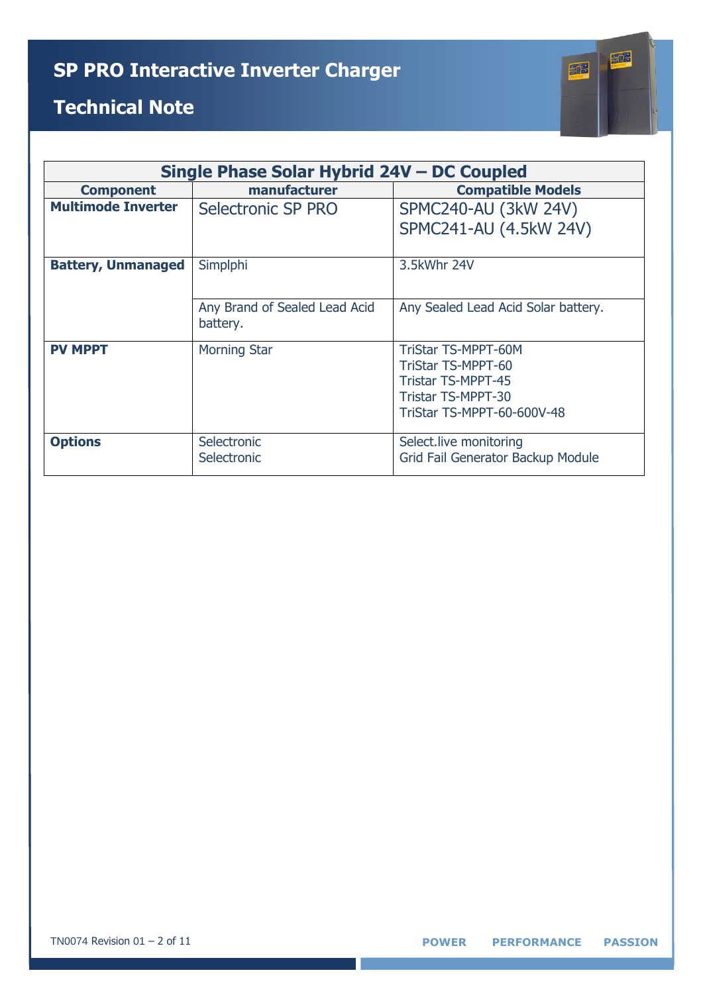

| Single Phase Solar Hybrid 24V – DC Coupled |                               |                                     |
|--------------------------------------------|-------------------------------|-------------------------------------|
| <b>Component</b>                           | manufacturer                  | <b>Compatible Models</b>            |
| <b>Multimode Inverter</b>                  | Selectronic SP PRO            | SPMC240-AU (3kW 24V)                |
|                                            |                               | SPMC241-AU (4.5kW 24V)              |
|                                            |                               |                                     |
| <b>Battery, Unmanaged</b>                  | Simplphi                      | 3.5kWhr 24V                         |
|                                            |                               |                                     |
|                                            | Any Brand of Sealed Lead Acid | Any Sealed Lead Acid Solar battery. |
|                                            | battery.                      |                                     |
| <b>PV MPPT</b>                             | <b>Morning Star</b>           | <b>TriStar TS-MPPT-60M</b>          |
|                                            |                               | <b>TriStar TS-MPPT-60</b>           |
|                                            |                               | <b>Tristar TS-MPPT-45</b>           |
|                                            |                               | <b>Tristar TS-MPPT-30</b>           |
|                                            |                               | TriStar TS-MPPT-60-600V-48          |
|                                            |                               |                                     |
| <b>Options</b>                             | Selectronic                   | Select.live monitoring              |
|                                            | Selectronic                   | Grid Fail Generator Backup Module   |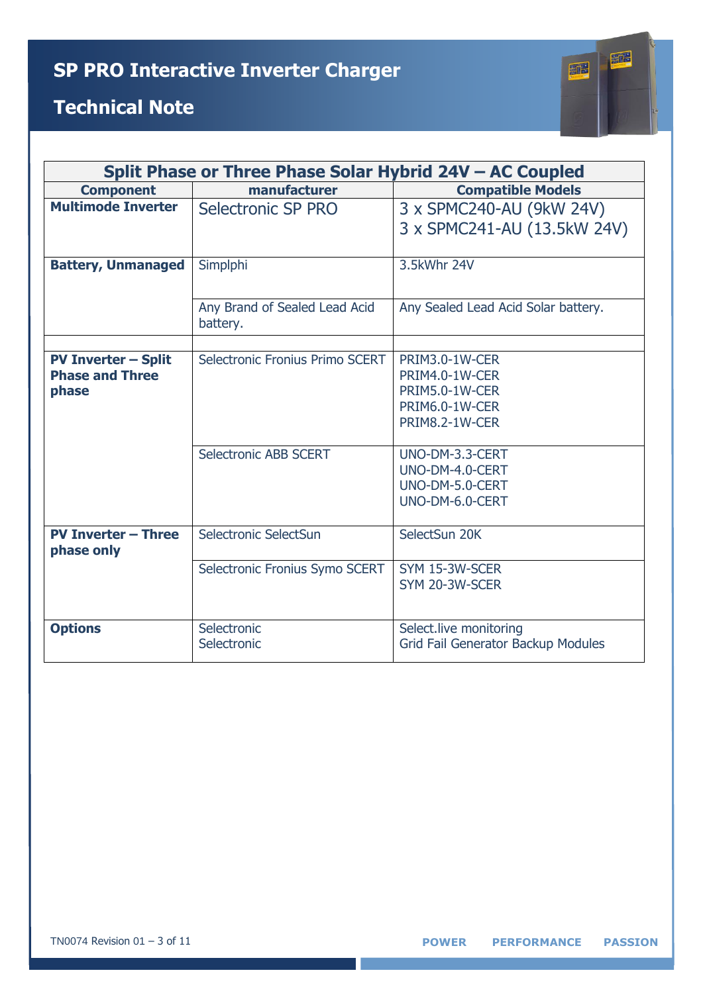

|                                          | Split Phase or Three Phase Solar Hybrid 24V - AC Coupled |                                                         |  |
|------------------------------------------|----------------------------------------------------------|---------------------------------------------------------|--|
| <b>Component</b>                         | manufacturer                                             | <b>Compatible Models</b>                                |  |
| <b>Multimode Inverter</b>                | Selectronic SP PRO                                       | 3 x SPMC240-AU (9kW 24V)<br>3 x SPMC241-AU (13.5kW 24V) |  |
|                                          |                                                          |                                                         |  |
| <b>Battery, Unmanaged</b>                | Simplphi                                                 | 3.5kWhr 24V                                             |  |
|                                          | Any Brand of Sealed Lead Acid<br>battery.                | Any Sealed Lead Acid Solar battery.                     |  |
|                                          |                                                          |                                                         |  |
| <b>PV Inverter - Split</b>               | Selectronic Fronius Primo SCERT                          | PRIM3.0-1W-CER                                          |  |
| <b>Phase and Three</b>                   |                                                          | PRIM4.0-1W-CER                                          |  |
| phase                                    |                                                          | PRIM5.0-1W-CER<br>PRIM6.0-1W-CER                        |  |
|                                          |                                                          | PRIM8.2-1W-CER                                          |  |
|                                          |                                                          |                                                         |  |
|                                          | Selectronic ABB SCERT                                    | UNO-DM-3.3-CERT                                         |  |
|                                          |                                                          | UNO-DM-4.0-CERT                                         |  |
|                                          |                                                          | UNO-DM-5.0-CERT                                         |  |
|                                          |                                                          | UNO-DM-6.0-CERT                                         |  |
| <b>PV Inverter - Three</b><br>phase only | Selectronic SelectSun                                    | SelectSun 20K                                           |  |
|                                          | Selectronic Fronius Symo SCERT                           | SYM 15-3W-SCER                                          |  |
|                                          |                                                          | SYM 20-3W-SCER                                          |  |
|                                          |                                                          |                                                         |  |
| <b>Options</b>                           | Selectronic                                              | Select.live monitoring                                  |  |
|                                          | Selectronic                                              | <b>Grid Fail Generator Backup Modules</b>               |  |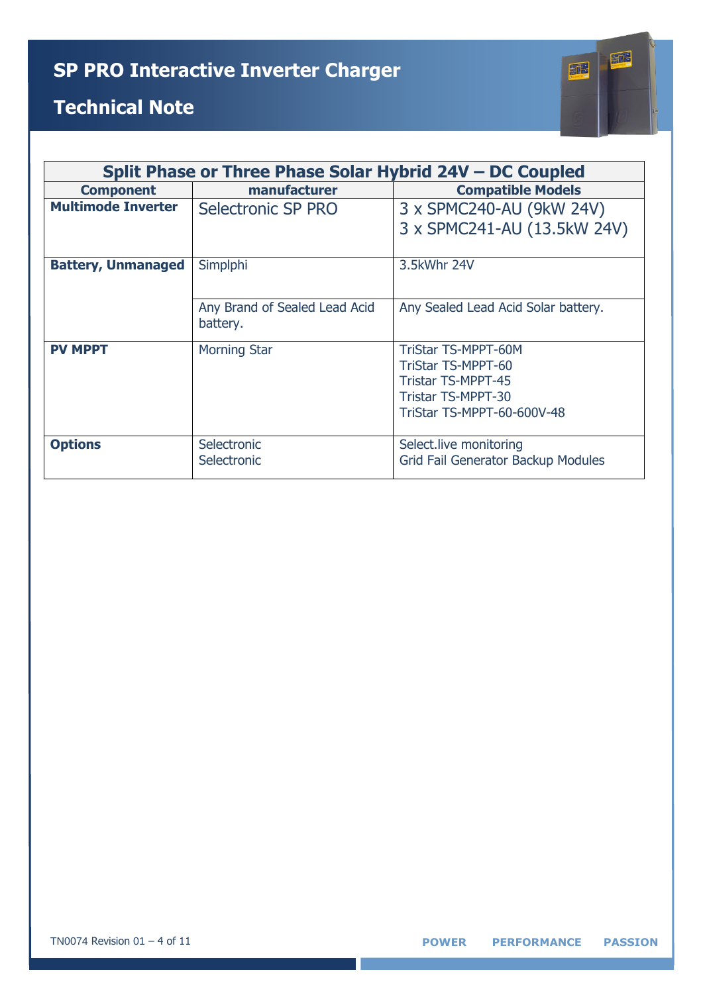

| Split Phase or Three Phase Solar Hybrid 24V – DC Coupled |                                           |                                                                                                                                   |
|----------------------------------------------------------|-------------------------------------------|-----------------------------------------------------------------------------------------------------------------------------------|
| <b>Component</b>                                         | manufacturer                              | <b>Compatible Models</b>                                                                                                          |
| <b>Multimode Inverter</b>                                | Selectronic SP PRO                        | 3 x SPMC240-AU (9kW 24V)<br>3 x SPMC241-AU (13.5kW 24V)                                                                           |
| <b>Battery, Unmanaged</b>                                | Simplphi                                  | 3.5kWhr 24V                                                                                                                       |
|                                                          | Any Brand of Sealed Lead Acid<br>battery. | Any Sealed Lead Acid Solar battery.                                                                                               |
| <b>PV MPPT</b>                                           | <b>Morning Star</b>                       | TriStar TS-MPPT-60M<br><b>TriStar TS-MPPT-60</b><br><b>Tristar TS-MPPT-45</b><br>Tristar TS-MPPT-30<br>TriStar TS-MPPT-60-600V-48 |
| <b>Options</b>                                           | Selectronic<br>Selectronic                | Select.live monitoring<br>Grid Fail Generator Backup Modules                                                                      |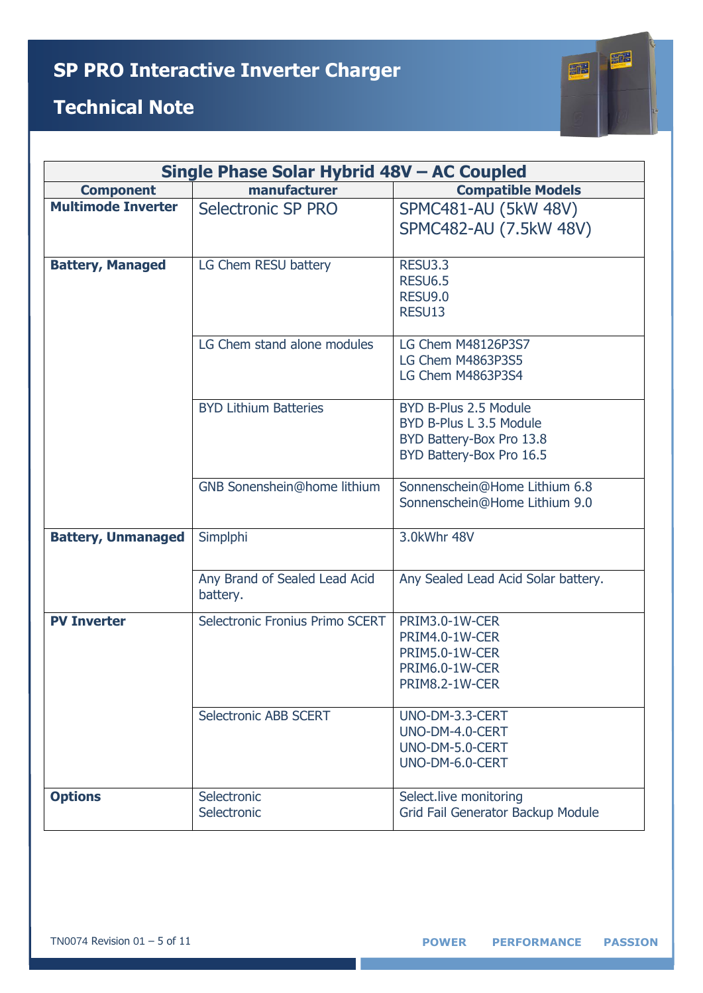

|                           | Single Phase Solar Hybrid 48V - AC Coupled |                                                                                                          |  |
|---------------------------|--------------------------------------------|----------------------------------------------------------------------------------------------------------|--|
| <b>Component</b>          | manufacturer                               | <b>Compatible Models</b>                                                                                 |  |
| <b>Multimode Inverter</b> | Selectronic SP PRO                         | SPMC481-AU (5kW 48V)<br>SPMC482-AU (7.5kW 48V)                                                           |  |
| <b>Battery, Managed</b>   | LG Chem RESU battery                       | <b>RESU3.3</b><br><b>RESU6.5</b><br><b>RESU9.0</b><br>RESU13                                             |  |
|                           | LG Chem stand alone modules                | LG Chem M48126P3S7<br>LG Chem M4863P3S5<br>LG Chem M4863P3S4                                             |  |
|                           | <b>BYD Lithium Batteries</b>               | BYD B-Plus 2.5 Module<br>BYD B-Plus L 3.5 Module<br>BYD Battery-Box Pro 13.8<br>BYD Battery-Box Pro 16.5 |  |
|                           | GNB Sonenshein@home lithium                | Sonnenschein@Home Lithium 6.8<br>Sonnenschein@Home Lithium 9.0                                           |  |
| <b>Battery, Unmanaged</b> | Simplphi                                   | 3.0kWhr 48V                                                                                              |  |
|                           | Any Brand of Sealed Lead Acid<br>battery.  | Any Sealed Lead Acid Solar battery.                                                                      |  |
| <b>PV Inverter</b>        | Selectronic Fronius Primo SCERT            | PRIM3.0-1W-CER<br>PRIM4.0-1W-CER<br>PRIM5.0-1W-CER<br>PRIM6.0-1W-CER<br>PRIM8.2-1W-CER                   |  |
|                           | <b>Selectronic ABB SCERT</b>               | UNO-DM-3.3-CERT<br>UNO-DM-4.0-CERT<br>UNO-DM-5.0-CERT<br>UNO-DM-6.0-CERT                                 |  |
| <b>Options</b>            | Selectronic<br>Selectronic                 | Select.live monitoring<br>Grid Fail Generator Backup Module                                              |  |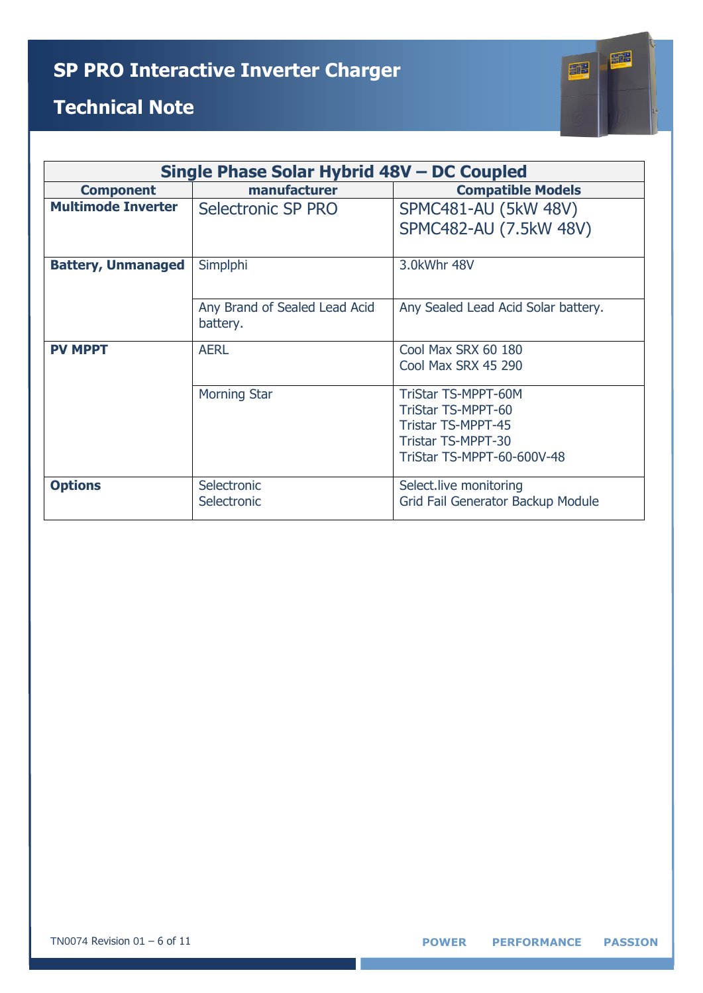

| Single Phase Solar Hybrid 48V – DC Coupled |                                                         |  |
|--------------------------------------------|---------------------------------------------------------|--|
| manufacturer                               | <b>Compatible Models</b>                                |  |
| Selectronic SP PRO                         | <b>SPMC481-AU (5kW 48V)</b>                             |  |
|                                            | SPMC482-AU (7.5kW 48V)                                  |  |
|                                            |                                                         |  |
| Simplphi                                   | 3.0kWhr 48V                                             |  |
|                                            |                                                         |  |
| Any Brand of Sealed Lead Acid              | Any Sealed Lead Acid Solar battery.                     |  |
| battery.                                   |                                                         |  |
| <b>AERL</b>                                | Cool Max SRX 60 180                                     |  |
|                                            | Cool Max SRX 45 290                                     |  |
|                                            |                                                         |  |
|                                            | <b>TriStar TS-MPPT-60M</b><br><b>TriStar TS-MPPT-60</b> |  |
|                                            |                                                         |  |
|                                            | <b>Tristar TS-MPPT-45</b><br><b>Tristar TS-MPPT-30</b>  |  |
|                                            |                                                         |  |
|                                            | TriStar TS-MPPT-60-600V-48                              |  |
| Selectronic                                | Select.live monitoring                                  |  |
| Selectronic                                | Grid Fail Generator Backup Module                       |  |
|                                            | <b>Morning Star</b>                                     |  |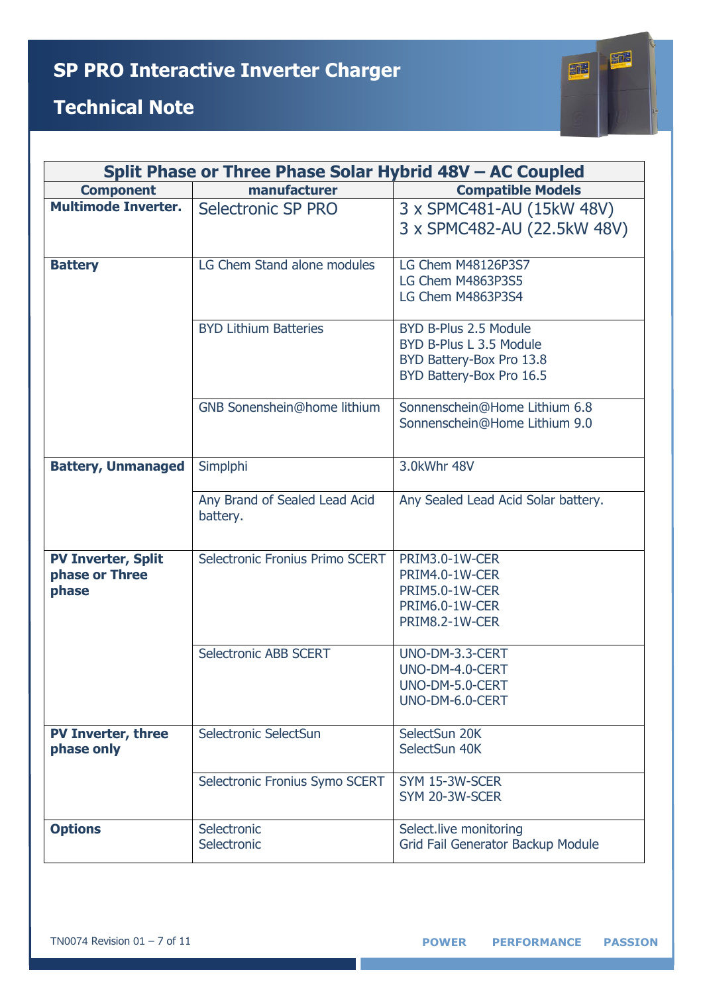# 証 証

| Split Phase or Three Phase Solar Hybrid 48V - AC Coupled |                                           |                                                                                                          |
|----------------------------------------------------------|-------------------------------------------|----------------------------------------------------------------------------------------------------------|
| <b>Component</b>                                         | manufacturer                              | <b>Compatible Models</b>                                                                                 |
| <b>Multimode Inverter.</b>                               | Selectronic SP PRO                        | 3 x SPMC481-AU (15kW 48V)<br>3 x SPMC482-AU (22.5kW 48V)                                                 |
| <b>Battery</b>                                           | LG Chem Stand alone modules               | LG Chem M48126P3S7<br>LG Chem M4863P3S5<br>LG Chem M4863P3S4                                             |
|                                                          | <b>BYD Lithium Batteries</b>              | BYD B-Plus 2.5 Module<br>BYD B-Plus L 3.5 Module<br>BYD Battery-Box Pro 13.8<br>BYD Battery-Box Pro 16.5 |
|                                                          | <b>GNB Sonenshein@home lithium</b>        | Sonnenschein@Home Lithium 6.8<br>Sonnenschein@Home Lithium 9.0                                           |
| <b>Battery, Unmanaged</b>                                | Simplphi                                  | 3.0kWhr 48V                                                                                              |
|                                                          | Any Brand of Sealed Lead Acid<br>battery. | Any Sealed Lead Acid Solar battery.                                                                      |
| <b>PV Inverter, Split</b><br>phase or Three<br>phase     | Selectronic Fronius Primo SCERT           | PRIM3.0-1W-CER<br>PRIM4.0-1W-CER<br>PRIM5.0-1W-CER<br>PRIM6.0-1W-CER<br>PRIM8.2-1W-CER                   |
|                                                          | <b>Selectronic ABB SCERT</b>              | UNO-DM-3.3-CERT<br>UNO-DM-4.0-CERT<br>UNO-DM-5.0-CERT<br>UNO-DM-6.0-CERT                                 |
| <b>PV Inverter, three</b><br>phase only                  | Selectronic SelectSun                     | SelectSun 20K<br>SelectSun 40K                                                                           |
|                                                          | Selectronic Fronius Symo SCERT            | SYM 15-3W-SCER<br>SYM 20-3W-SCER                                                                         |
| <b>Options</b>                                           | Selectronic<br>Selectronic                | Select.live monitoring<br>Grid Fail Generator Backup Module                                              |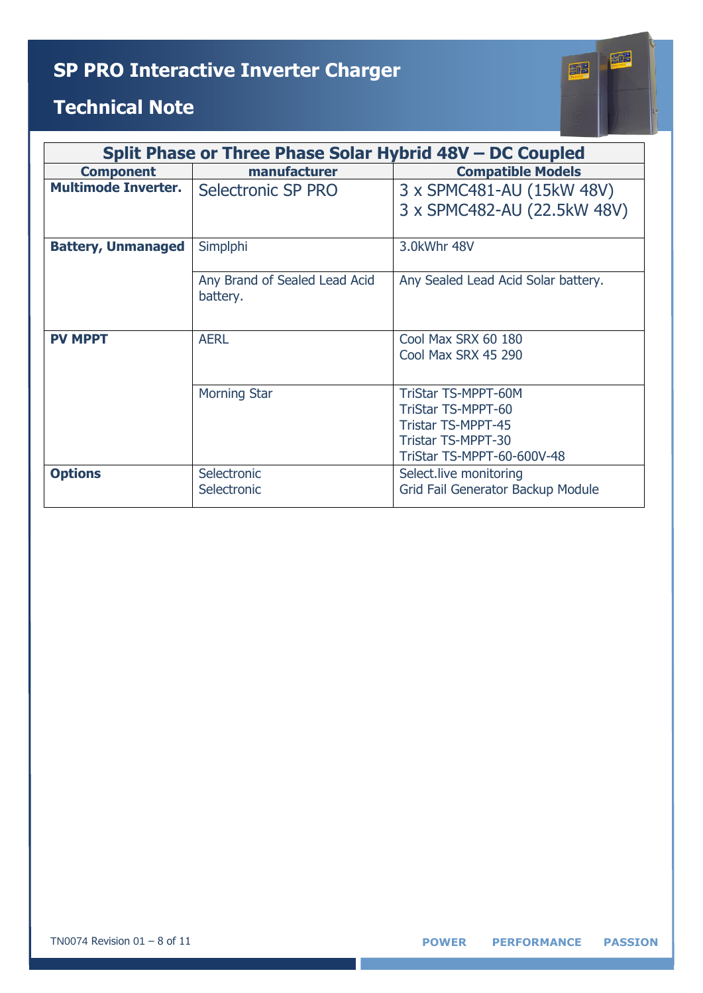| E<br>÷          |  |
|-----------------|--|
|                 |  |
| led<br>unl<br>n |  |

| Split Phase or Three Phase Solar Hybrid 48V – DC Coupled |                               |                                     |
|----------------------------------------------------------|-------------------------------|-------------------------------------|
| <b>Component</b>                                         | manufacturer                  | <b>Compatible Models</b>            |
| <b>Multimode Inverter.</b>                               | Selectronic SP PRO            | 3 x SPMC481-AU (15kW 48V)           |
|                                                          |                               | 3 x SPMC482-AU (22.5kW 48V)         |
|                                                          |                               |                                     |
| <b>Battery, Unmanaged</b>                                | Simplphi                      | 3.0kWhr 48V                         |
|                                                          |                               |                                     |
|                                                          | Any Brand of Sealed Lead Acid | Any Sealed Lead Acid Solar battery. |
|                                                          | battery.                      |                                     |
|                                                          |                               |                                     |
| <b>PV MPPT</b>                                           | <b>AERL</b>                   | Cool Max SRX 60 180                 |
|                                                          |                               | Cool Max SRX 45 290                 |
|                                                          |                               |                                     |
|                                                          | <b>Morning Star</b>           | <b>TriStar TS-MPPT-60M</b>          |
|                                                          |                               | <b>TriStar TS-MPPT-60</b>           |
|                                                          |                               | <b>Tristar TS-MPPT-45</b>           |
|                                                          |                               | <b>Tristar TS-MPPT-30</b>           |
|                                                          |                               | TriStar TS-MPPT-60-600V-48          |
| <b>Options</b>                                           | Selectronic                   | Select.live monitoring              |
|                                                          | Selectronic                   | Grid Fail Generator Backup Module   |
|                                                          |                               |                                     |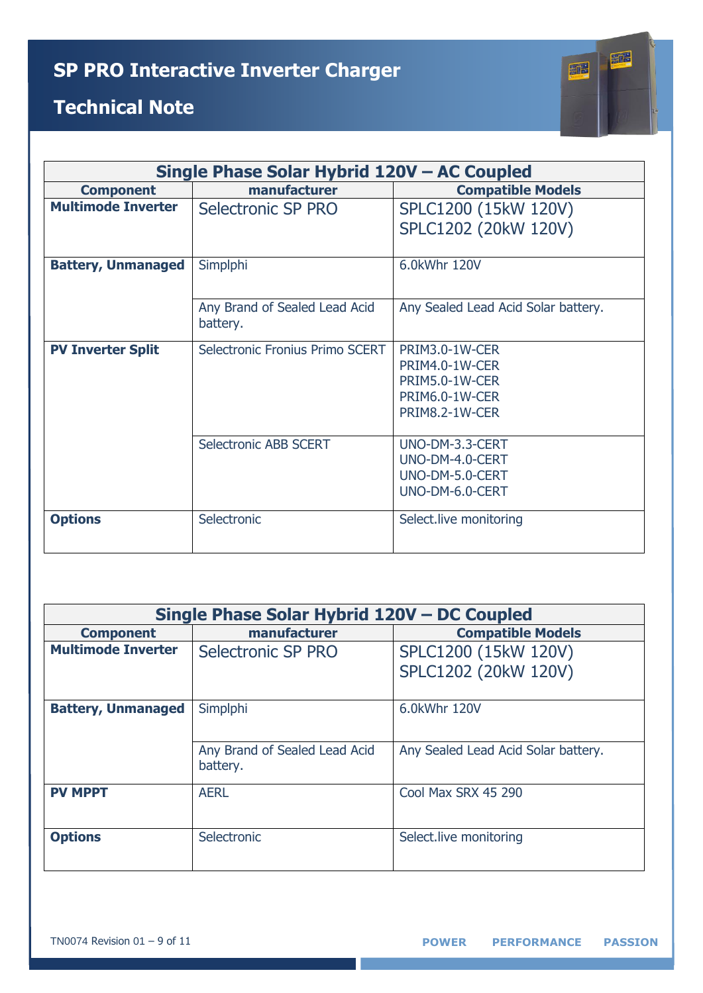

| Single Phase Solar Hybrid 120V - AC Coupled |                                           |                                                                                        |
|---------------------------------------------|-------------------------------------------|----------------------------------------------------------------------------------------|
| <b>Component</b>                            | manufacturer                              | <b>Compatible Models</b>                                                               |
| <b>Multimode Inverter</b>                   | Selectronic SP PRO                        | SPLC1200 (15kW 120V)<br>SPLC1202 (20kW 120V)                                           |
|                                             |                                           |                                                                                        |
| <b>Battery, Unmanaged</b>                   | Simplphi                                  | 6.0kWhr 120V                                                                           |
|                                             | Any Brand of Sealed Lead Acid<br>battery. | Any Sealed Lead Acid Solar battery.                                                    |
| <b>PV Inverter Split</b>                    | Selectronic Fronius Primo SCERT           | PRIM3.0-1W-CER<br>PRIM4.0-1W-CER<br>PRIM5.0-1W-CER<br>PRIM6.0-1W-CER<br>PRIM8.2-1W-CER |
|                                             | <b>Selectronic ABB SCERT</b>              | UNO-DM-3.3-CERT<br>UNO-DM-4.0-CERT<br>UNO-DM-5.0-CERT<br>UNO-DM-6.0-CERT               |
| <b>Options</b>                              | Selectronic                               | Select.live monitoring                                                                 |

| Single Phase Solar Hybrid 120V - DC Coupled |                                           |                                     |
|---------------------------------------------|-------------------------------------------|-------------------------------------|
| <b>Component</b>                            | manufacturer                              | <b>Compatible Models</b>            |
| <b>Multimode Inverter</b>                   | Selectronic SP PRO                        | SPLC1200 (15kW 120V)                |
|                                             |                                           | SPLC1202 (20kW 120V)                |
| <b>Battery, Unmanaged</b>                   | Simplphi                                  | 6.0kWhr 120V                        |
|                                             | Any Brand of Sealed Lead Acid<br>battery. | Any Sealed Lead Acid Solar battery. |
| <b>PV MPPT</b>                              | <b>AERL</b>                               | Cool Max SRX 45 290                 |
| <b>Options</b>                              | Selectronic                               | Select.live monitoring              |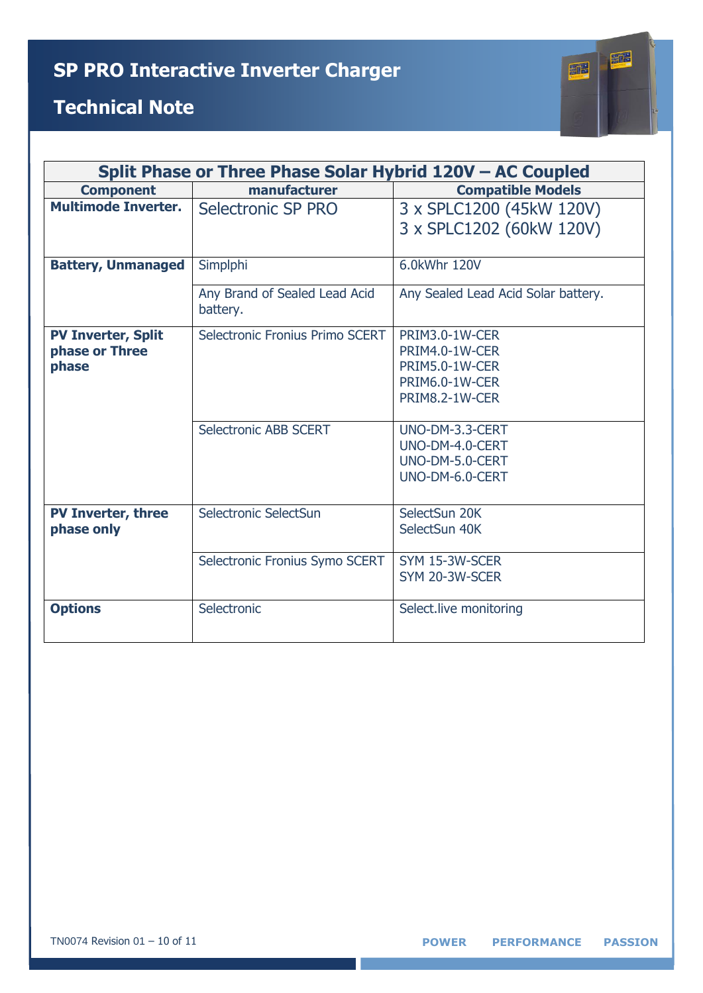

| Split Phase or Three Phase Solar Hybrid 120V - AC Coupled |                                           |                                                                                        |
|-----------------------------------------------------------|-------------------------------------------|----------------------------------------------------------------------------------------|
| <b>Component</b>                                          | manufacturer                              | <b>Compatible Models</b>                                                               |
| <b>Multimode Inverter.</b>                                | Selectronic SP PRO                        | 3 x SPLC1200 (45kW 120V)<br>3 x SPLC1202 (60kW 120V)                                   |
| <b>Battery, Unmanaged</b>                                 | Simplphi                                  | 6.0kWhr 120V                                                                           |
|                                                           | Any Brand of Sealed Lead Acid<br>battery. | Any Sealed Lead Acid Solar battery.                                                    |
| <b>PV Inverter, Split</b><br>phase or Three<br>phase      | Selectronic Fronius Primo SCERT           | PRIM3.0-1W-CER<br>PRIM4.0-1W-CER<br>PRIM5.0-1W-CER<br>PRIM6.0-1W-CER<br>PRIM8.2-1W-CER |
|                                                           | Selectronic ABB SCERT                     | UNO-DM-3.3-CERT<br>UNO-DM-4.0-CERT<br>UNO-DM-5.0-CERT<br>UNO-DM-6.0-CERT               |
| <b>PV Inverter, three</b><br>phase only                   | Selectronic SelectSun                     | SelectSun 20K<br>SelectSun 40K                                                         |
|                                                           | Selectronic Fronius Symo SCERT            | SYM 15-3W-SCER<br>SYM 20-3W-SCER                                                       |
| <b>Options</b>                                            | Selectronic                               | Select.live monitoring                                                                 |